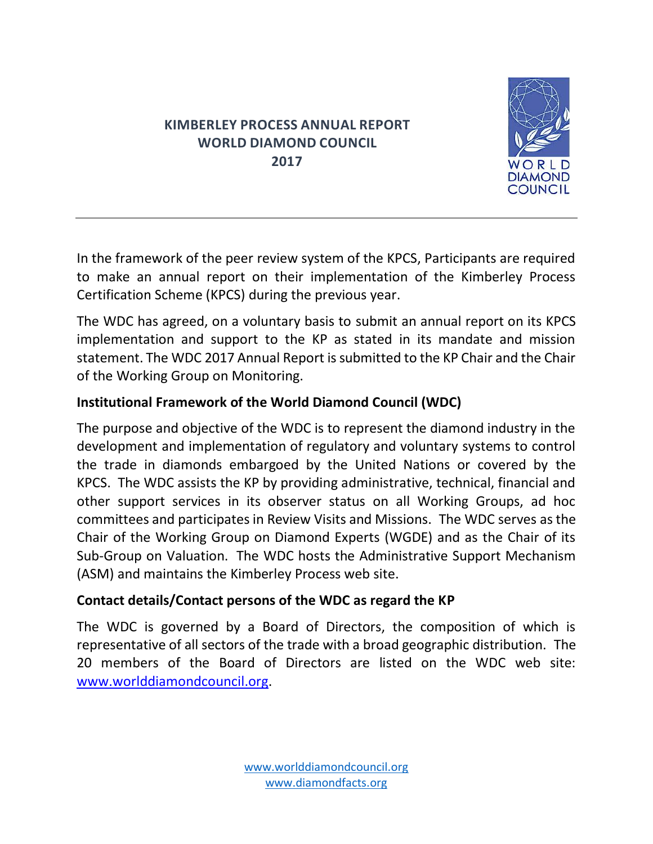# **KIMBERLEY PROCESS ANNUAL REPORT WORLD DIAMOND COUNCIL 2017**



In the framework of the peer review system of the KPCS, Participants are required to make an annual report on their implementation of the Kimberley Process Certification Scheme (KPCS) during the previous year.

The WDC has agreed, on a voluntary basis to submit an annual report on its KPCS implementation and support to the KP as stated in its mandate and mission statement. The WDC 2017 Annual Report is submitted to the KP Chair and the Chair of the Working Group on Monitoring.

## **Institutional Framework of the World Diamond Council (WDC)**

The purpose and objective of the WDC is to represent the diamond industry in the development and implementation of regulatory and voluntary systems to control the trade in diamonds embargoed by the United Nations or covered by the KPCS. The WDC assists the KP by providing administrative, technical, financial and other support services in its observer status on all Working Groups, ad hoc committees and participates in Review Visits and Missions. The WDC serves as the Chair of the Working Group on Diamond Experts (WGDE) and as the Chair of its Sub-Group on Valuation. The WDC hosts the Administrative Support Mechanism (ASM) and maintains the Kimberley Process web site.

## **Contact details/Contact persons of the WDC as regard the KP**

The WDC is governed by a Board of Directors, the composition of which is representative of all sectors of the trade with a broad geographic distribution. The 20 members of the Board of Directors are listed on the WDC web site: [www.worlddiamondcouncil.org.](http://www.worlddiamondcouncil.org/)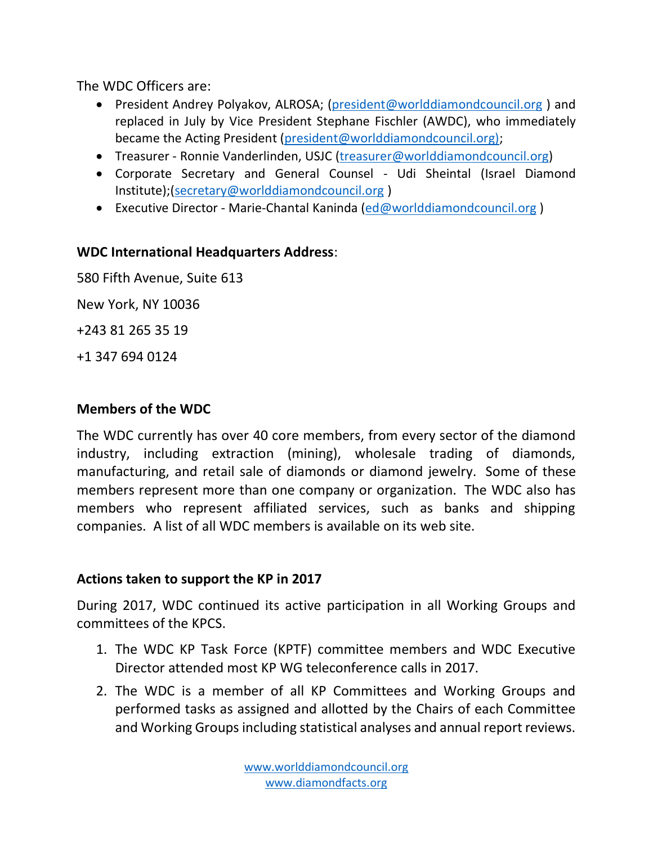The WDC Officers are:

- President Andrey Polyakov, ALROSA; [\(president@worlddiamondcouncil.org](mailto:president@worlddiamondcouncil.org)) and replaced in July by Vice President Stephane Fischler (AWDC), who immediately became the Acting President [\(president@worlddiamondcouncil.org\);](mailto:president@worlddiamondcouncil.org))
- Treasurer Ronnie Vanderlinden, USJC [\(treasurer@worlddiamondcouncil.org\)](mailto:treasurer@worlddiamondcouncil.org)
- Corporate Secretary and General Counsel Udi Sheintal (Israel Diamond Institute);[\(secretary@worlddiamondcouncil.org](mailto:secretary@worlddiamondcouncil.org) )
- Executive Director Marie-Chantal Kaninda [\(ed@worlddiamondcouncil.org](mailto:ed@worlddiamondcouncil.org))

### **WDC International Headquarters Address**:

580 Fifth Avenue, Suite 613 New York, NY 10036 +243 81 265 35 19 +1 347 694 0124

## **Members of the WDC**

The WDC currently has over 40 core members, from every sector of the diamond industry, including extraction (mining), wholesale trading of diamonds, manufacturing, and retail sale of diamonds or diamond jewelry. Some of these members represent more than one company or organization. The WDC also has members who represent affiliated services, such as banks and shipping companies. A list of all WDC members is available on its web site.

#### **Actions taken to support the KP in 2017**

During 2017, WDC continued its active participation in all Working Groups and committees of the KPCS.

- 1. The WDC KP Task Force (KPTF) committee members and WDC Executive Director attended most KP WG teleconference calls in 2017.
- 2. The WDC is a member of all KP Committees and Working Groups and performed tasks as assigned and allotted by the Chairs of each Committee and Working Groups including statistical analyses and annual report reviews.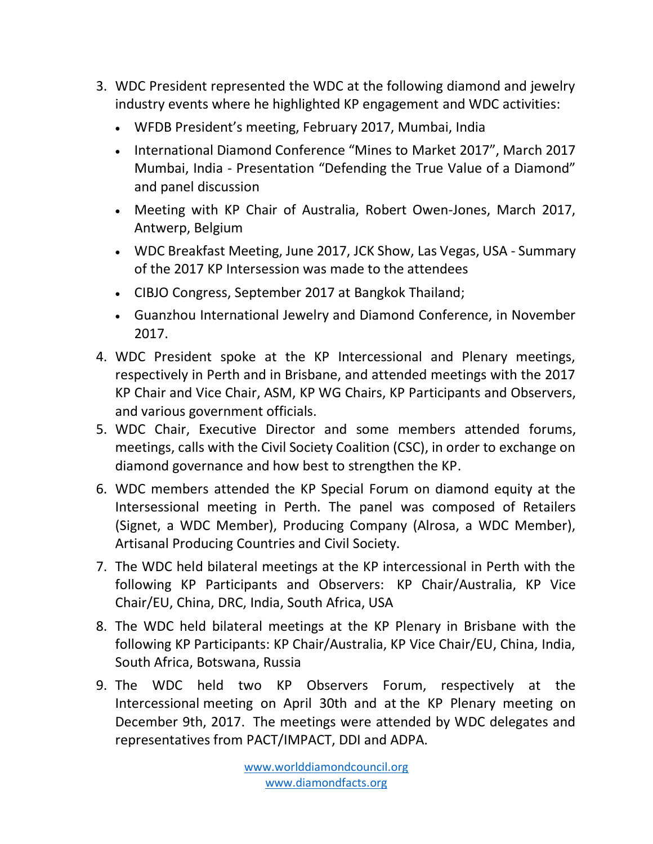- 3. WDC President represented the WDC at the following diamond and jewelry industry events where he highlighted KP engagement and WDC activities:
	- WFDB President's meeting, February 2017, Mumbai, India
	- International Diamond Conference "Mines to Market 2017", March 2017 Mumbai, India - Presentation "Defending the True Value of a Diamond" and panel discussion
	- Meeting with KP Chair of Australia, Robert Owen-Jones, March 2017, Antwerp, Belgium
	- WDC Breakfast Meeting, June 2017, JCK Show, Las Vegas, USA Summary of the 2017 KP Intersession was made to the attendees
	- CIBJO Congress, September 2017 at Bangkok Thailand;
	- Guanzhou International Jewelry and Diamond Conference, in November 2017.
- 4. WDC President spoke at the KP Intercessional and Plenary meetings, respectively in Perth and in Brisbane, and attended meetings with the 2017 KP Chair and Vice Chair, ASM, KP WG Chairs, KP Participants and Observers, and various government officials.
- 5. WDC Chair, Executive Director and some members attended forums, meetings, calls with the Civil Society Coalition (CSC), in order to exchange on diamond governance and how best to strengthen the KP.
- 6. WDC members attended the KP Special Forum on diamond equity at the Intersessional meeting in Perth. The panel was composed of Retailers (Signet, a WDC Member), Producing Company (Alrosa, a WDC Member), Artisanal Producing Countries and Civil Society.
- 7. The WDC held bilateral meetings at the KP intercessional in Perth with the following KP Participants and Observers: KP Chair/Australia, KP Vice Chair/EU, China, DRC, India, South Africa, USA
- 8. The WDC held bilateral meetings at the KP Plenary in Brisbane with the following KP Participants: KP Chair/Australia, KP Vice Chair/EU, China, India, South Africa, Botswana, Russia
- 9. The WDC held two KP Observers Forum, respectively at the Intercessional meeting on April 30th and at the KP Plenary meeting on December 9th, 2017. The meetings were attended by WDC delegates and representatives from PACT/IMPACT, DDI and ADPA.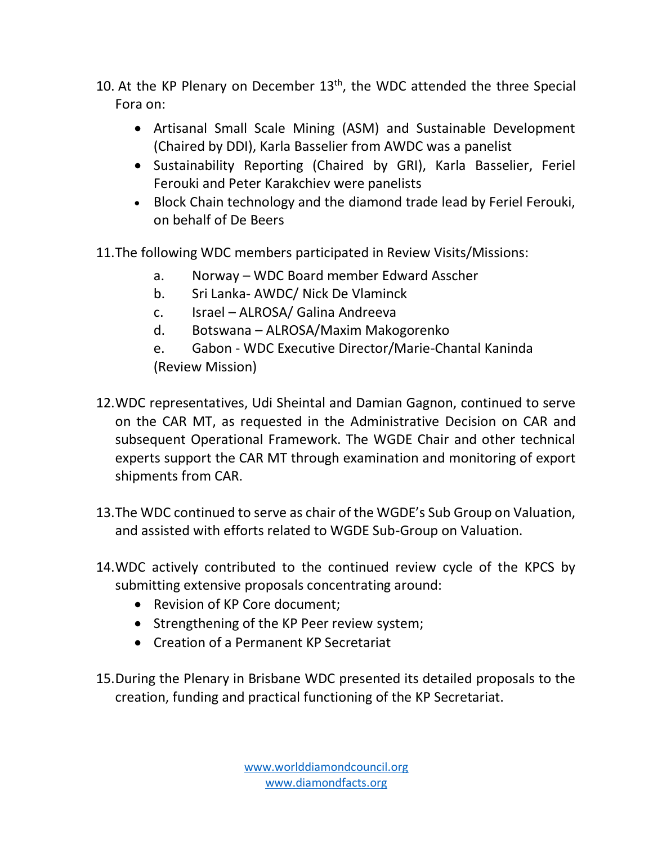- 10. At the KP Plenary on December  $13<sup>th</sup>$ , the WDC attended the three Special Fora on:
	- Artisanal Small Scale Mining (ASM) and Sustainable Development (Chaired by DDI), Karla Basselier from AWDC was a panelist
	- Sustainability Reporting (Chaired by GRI), Karla Basselier, Feriel Ferouki and Peter Karakchiev were panelists
	- Block Chain technology and the diamond trade lead by Feriel Ferouki, on behalf of De Beers
- 11.The following WDC members participated in Review Visits/Missions:
	- a. Norway WDC Board member Edward Asscher
	- b. Sri Lanka- AWDC/ Nick De Vlaminck
	- c. Israel ALROSA/ Galina Andreeva
	- d. Botswana ALROSA/Maxim Makogorenko
	- e. Gabon WDC Executive Director/Marie-Chantal Kaninda (Review Mission)
- 12.WDC representatives, Udi Sheintal and Damian Gagnon, continued to serve on the CAR MT, as requested in the Administrative Decision on CAR and subsequent Operational Framework. The WGDE Chair and other technical experts support the CAR MT through examination and monitoring of export shipments from CAR.
- 13.The WDC continued to serve as chair of the WGDE's Sub Group on Valuation, and assisted with efforts related to WGDE Sub-Group on Valuation.
- 14.WDC actively contributed to the continued review cycle of the KPCS by submitting extensive proposals concentrating around:
	- Revision of KP Core document:
	- Strengthening of the KP Peer review system;
	- Creation of a Permanent KP Secretariat
- 15.During the Plenary in Brisbane WDC presented its detailed proposals to the creation, funding and practical functioning of the KP Secretariat.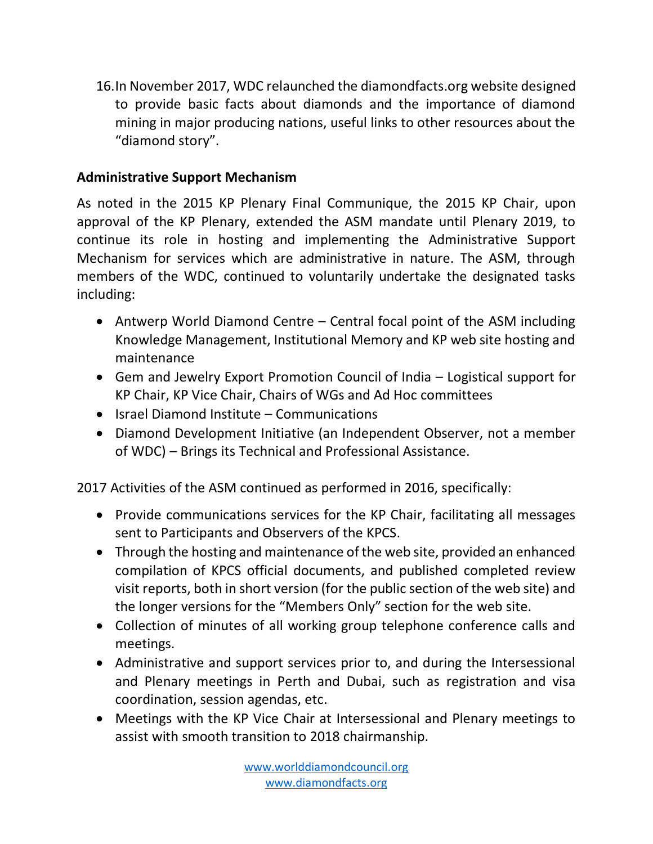16.In November 2017, WDC relaunched the diamondfacts.org website designed to provide basic facts about diamonds and the importance of diamond mining in major producing nations, useful links to other resources about the "diamond story".

#### **Administrative Support Mechanism**

As noted in the 2015 KP Plenary Final Communique, the 2015 KP Chair, upon approval of the KP Plenary, extended the ASM mandate until Plenary 2019, to continue its role in hosting and implementing the Administrative Support Mechanism for services which are administrative in nature. The ASM, through members of the WDC, continued to voluntarily undertake the designated tasks including:

- Antwerp World Diamond Centre Central focal point of the ASM including Knowledge Management, Institutional Memory and KP web site hosting and maintenance
- Gem and Jewelry Export Promotion Council of India Logistical support for KP Chair, KP Vice Chair, Chairs of WGs and Ad Hoc committees
- Israel Diamond Institute Communications
- Diamond Development Initiative (an Independent Observer, not a member of WDC) – Brings its Technical and Professional Assistance.

2017 Activities of the ASM continued as performed in 2016, specifically:

- Provide communications services for the KP Chair, facilitating all messages sent to Participants and Observers of the KPCS.
- Through the hosting and maintenance of the web site, provided an enhanced compilation of KPCS official documents, and published completed review visit reports, both in short version (for the public section of the web site) and the longer versions for the "Members Only" section for the web site.
- Collection of minutes of all working group telephone conference calls and meetings.
- Administrative and support services prior to, and during the Intersessional and Plenary meetings in Perth and Dubai, such as registration and visa coordination, session agendas, etc.
- Meetings with the KP Vice Chair at Intersessional and Plenary meetings to assist with smooth transition to 2018 chairmanship.